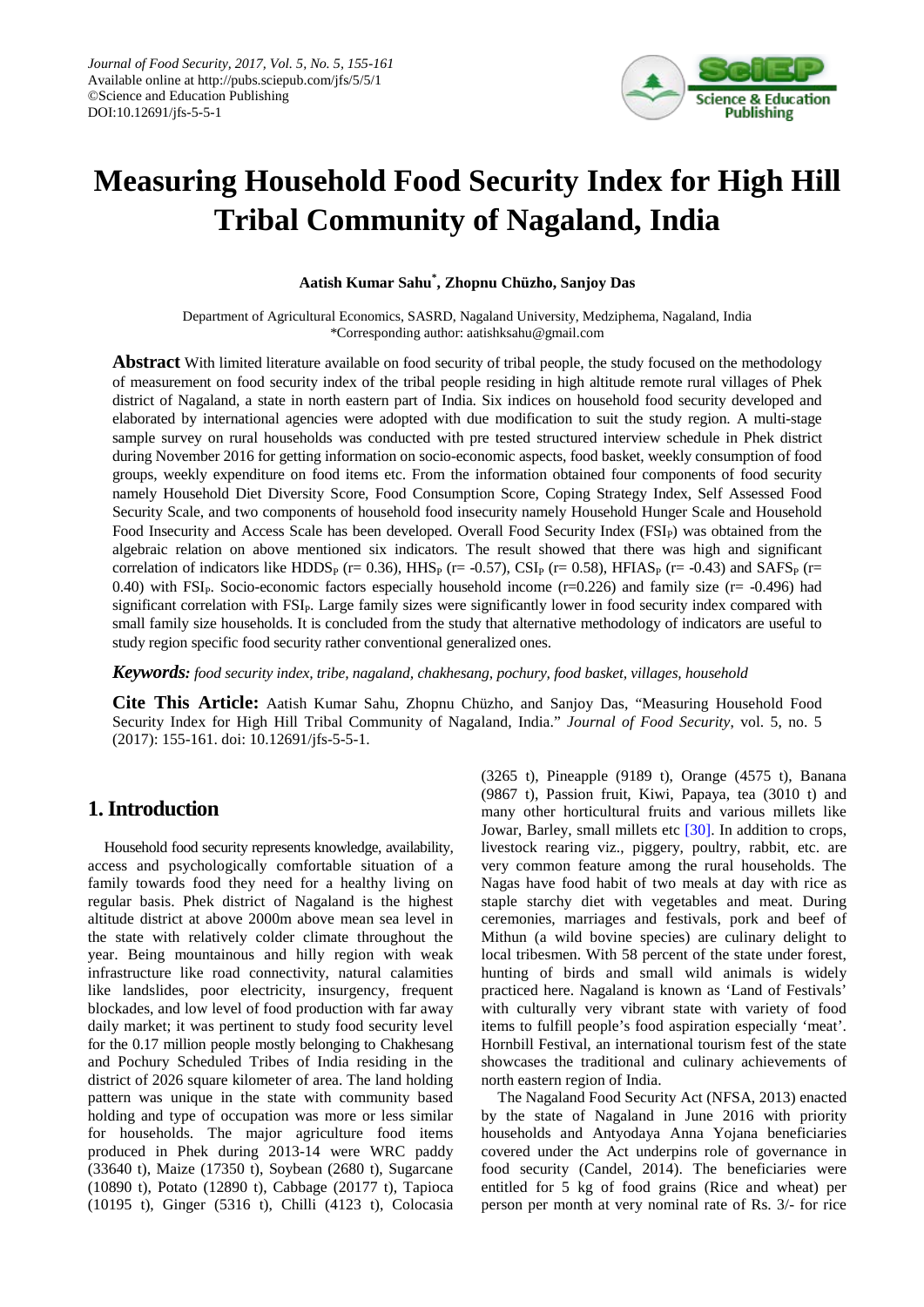

# **Measuring Household Food Security Index for High Hill Tribal Community of Nagaland, India**

**Aatish Kumar Sahu\* , Zhopnu Chüzho, Sanjoy Das**

Department of Agricultural Economics, SASRD, Nagaland University, Medziphema, Nagaland, India \*Corresponding author: aatishksahu@gmail.com

**Abstract** With limited literature available on food security of tribal people, the study focused on the methodology of measurement on food security index of the tribal people residing in high altitude remote rural villages of Phek district of Nagaland, a state in north eastern part of India. Six indices on household food security developed and elaborated by international agencies were adopted with due modification to suit the study region. A multi-stage sample survey on rural households was conducted with pre tested structured interview schedule in Phek district during November 2016 for getting information on socio-economic aspects, food basket, weekly consumption of food groups, weekly expenditure on food items etc. From the information obtained four components of food security namely Household Diet Diversity Score, Food Consumption Score, Coping Strategy Index, Self Assessed Food Security Scale, and two components of household food insecurity namely Household Hunger Scale and Household Food Insecurity and Access Scale has been developed. Overall Food Security Index (FSI<sub>P</sub>) was obtained from the algebraic relation on above mentioned six indicators. The result showed that there was high and significant correlation of indicators like HDDS<sub>P</sub> (r= 0.36), HHS<sub>P</sub> (r= -0.57), CSI<sub>P</sub> (r= 0.58), HFIAS<sub>P</sub> (r= -0.43) and SAFS<sub>P</sub> (r= 0.40) with FSI<sub>P</sub>. Socio-economic factors especially household income  $(r=0.226)$  and family size  $(r=0.496)$  had significant correlation with FSI<sub>P</sub>. Large family sizes were significantly lower in food security index compared with small family size households. It is concluded from the study that alternative methodology of indicators are useful to study region specific food security rather conventional generalized ones.

*Keywords: food security index, tribe, nagaland, chakhesang, pochury, food basket, villages, household*

**Cite This Article:** Aatish Kumar Sahu, Zhopnu Chüzho, and Sanjoy Das, "Measuring Household Food Security Index for High Hill Tribal Community of Nagaland, India." *Journal of Food Security*, vol. 5, no. 5 (2017): 155-161. doi: 10.12691/jfs-5-5-1.

# **1. Introduction**

Household food security represents knowledge, availability, access and psychologically comfortable situation of a family towards food they need for a healthy living on regular basis. Phek district of Nagaland is the highest altitude district at above 2000m above mean sea level in the state with relatively colder climate throughout the year. Being mountainous and hilly region with weak infrastructure like road connectivity, natural calamities like landslides, poor electricity, insurgency, frequent blockades, and low level of food production with far away daily market; it was pertinent to study food security level for the 0.17 million people mostly belonging to Chakhesang and Pochury Scheduled Tribes of India residing in the district of 2026 square kilometer of area. The land holding pattern was unique in the state with community based holding and type of occupation was more or less similar for households. The major agriculture food items produced in Phek during 2013-14 were WRC paddy (33640 t), Maize (17350 t), Soybean (2680 t), Sugarcane (10890 t), Potato (12890 t), Cabbage (20177 t), Tapioca (10195 t), Ginger (5316 t), Chilli (4123 t), Colocasia (3265 t), Pineapple (9189 t), Orange (4575 t), Banana (9867 t), Passion fruit, Kiwi, Papaya, tea (3010 t) and many other horticultural fruits and various millets like Jowar, Barley, small millets etc [\[30\].](#page-6-0) In addition to crops, livestock rearing viz., piggery, poultry, rabbit, etc. are very common feature among the rural households. The Nagas have food habit of two meals at day with rice as staple starchy diet with vegetables and meat. During ceremonies, marriages and festivals, pork and beef of Mithun (a wild bovine species) are culinary delight to local tribesmen. With 58 percent of the state under forest, hunting of birds and small wild animals is widely practiced here. Nagaland is known as 'Land of Festivals' with culturally very vibrant state with variety of food items to fulfill people's food aspiration especially 'meat'. Hornbill Festival, an international tourism fest of the state showcases the traditional and culinary achievements of north eastern region of India.

The Nagaland Food Security Act (NFSA, 2013) enacted by the state of Nagaland in June 2016 with priority households and Antyodaya Anna Yojana beneficiaries covered under the Act underpins role of governance in food security (Candel, 2014). The beneficiaries were entitled for 5 kg of food grains (Rice and wheat) per person per month at very nominal rate of Rs. 3/- for rice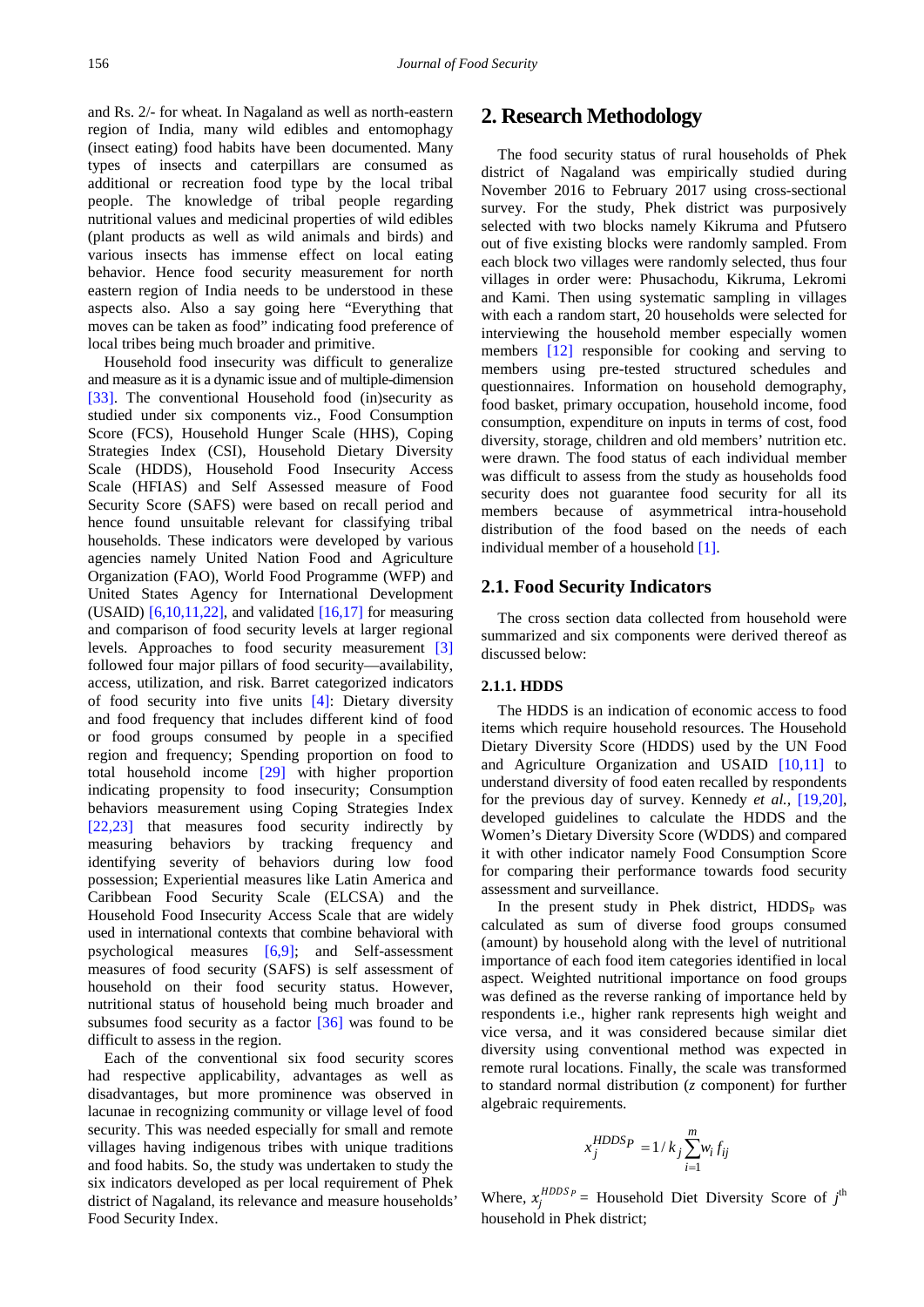and Rs. 2/- for wheat. In Nagaland as well as north-eastern region of India, many wild edibles and entomophagy (insect eating) food habits have been documented. Many types of insects and caterpillars are consumed as additional or recreation food type by the local tribal people. The knowledge of tribal people regarding nutritional values and medicinal properties of wild edibles (plant products as well as wild animals and birds) and various insects has immense effect on local eating behavior. Hence food security measurement for north eastern region of India needs to be understood in these aspects also. Also a say going here "Everything that moves can be taken as food" indicating food preference of local tribes being much broader and primitive.

Household food insecurity was difficult to generalize and measure as it is a dynamic issue and of multiple-dimension [\[33\].](#page-6-1) The conventional Household food (in)security as studied under six components viz., Food Consumption Score (FCS), Household Hunger Scale (HHS), Coping Strategies Index (CSI), Household Dietary Diversity Scale (HDDS), Household Food Insecurity Access Scale (HFIAS) and Self Assessed measure of Food Security Score (SAFS) were based on recall period and hence found unsuitable relevant for classifying tribal households. These indicators were developed by various agencies namely United Nation Food and Agriculture Organization (FAO), World Food Programme (WFP) and United States Agency for International Development (USAID)  $[6,10,11,22]$ , and validated  $[16,17]$  for measuring and comparison of food security levels at larger regional levels. Approaches to food security measurement [\[3\]](#page-5-1) followed four major pillars of food security—availability, access, utilization, and risk. Barret categorized indicators of food security into five units [\[4\]:](#page-5-2) Dietary diversity and food frequency that includes different kind of food or food groups consumed by people in a specified region and frequency; Spending proportion on food to total household income [\[29\]](#page-6-3) with higher proportion indicating propensity to food insecurity; Consumption behaviors measurement using Coping Strategies Index [\[22,23\]](#page-6-4) that measures food security indirectly by measuring behaviors by tracking frequency and identifying severity of behaviors during low food possession; Experiential measures like Latin America and Caribbean Food Security Scale (ELCSA) and the Household Food Insecurity Access Scale that are widely used in international contexts that combine behavioral with psychological measures [\[6,9\];](#page-5-0) and Self-assessment measures of food security (SAFS) is self assessment of household on their food security status. However, nutritional status of household being much broader and subsumes food security as a factor [\[36\]](#page-6-5) was found to be difficult to assess in the region.

Each of the conventional six food security scores had respective applicability, advantages as well as disadvantages, but more prominence was observed in lacunae in recognizing community or village level of food security. This was needed especially for small and remote villages having indigenous tribes with unique traditions and food habits. So, the study was undertaken to study the six indicators developed as per local requirement of Phek district of Nagaland, its relevance and measure households' Food Security Index.

# **2. Research Methodology**

The food security status of rural households of Phek district of Nagaland was empirically studied during November 2016 to February 2017 using cross-sectional survey. For the study, Phek district was purposively selected with two blocks namely Kikruma and Pfutsero out of five existing blocks were randomly sampled. From each block two villages were randomly selected, thus four villages in order were: Phusachodu, Kikruma, Lekromi and Kami. Then using systematic sampling in villages with each a random start, 20 households were selected for interviewing the household member especially women members [\[12\]](#page-6-6) responsible for cooking and serving to members using pre-tested structured schedules and questionnaires. Information on household demography, food basket, primary occupation, household income, food consumption, expenditure on inputs in terms of cost, food diversity, storage, children and old members' nutrition etc. were drawn. The food status of each individual member was difficult to assess from the study as households food security does not guarantee food security for all its members because of asymmetrical intra-household distribution of the food based on the needs of each individual member of a household [\[1\].](#page-5-3)

#### **2.1. Food Security Indicators**

The cross section data collected from household were summarized and six components were derived thereof as discussed below:

#### **2.1.1. HDDS**

The HDDS is an indication of economic access to food items which require household resources. The Household Dietary Diversity Score (HDDS) used by the UN Food and Agriculture Organization and USAID [\[10,11\]](#page-6-7) to understand diversity of food eaten recalled by respondents for the previous day of survey. Kennedy *et al.,* [\[19,20\],](#page-6-8) developed guidelines to calculate the HDDS and the Women's Dietary Diversity Score (WDDS) and compared it with other indicator namely Food Consumption Score for comparing their performance towards food security assessment and surveillance.

In the present study in Phek district,  $HDDS<sub>P</sub>$  was calculated as sum of diverse food groups consumed (amount) by household along with the level of nutritional importance of each food item categories identified in local aspect. Weighted nutritional importance on food groups was defined as the reverse ranking of importance held by respondents i.e., higher rank represents high weight and vice versa, and it was considered because similar diet diversity using conventional method was expected in remote rural locations. Finally, the scale was transformed to standard normal distribution (*z* component) for further algebraic requirements.

$$
x_j^{HDDSP} = 1 / k_j \sum_{i=1}^{m} w_i f_{ij}
$$

Where,  $x_j^{HDDS_p}$  = Household Diet Diversity Score of  $j^{\text{th}}$ household in Phek district;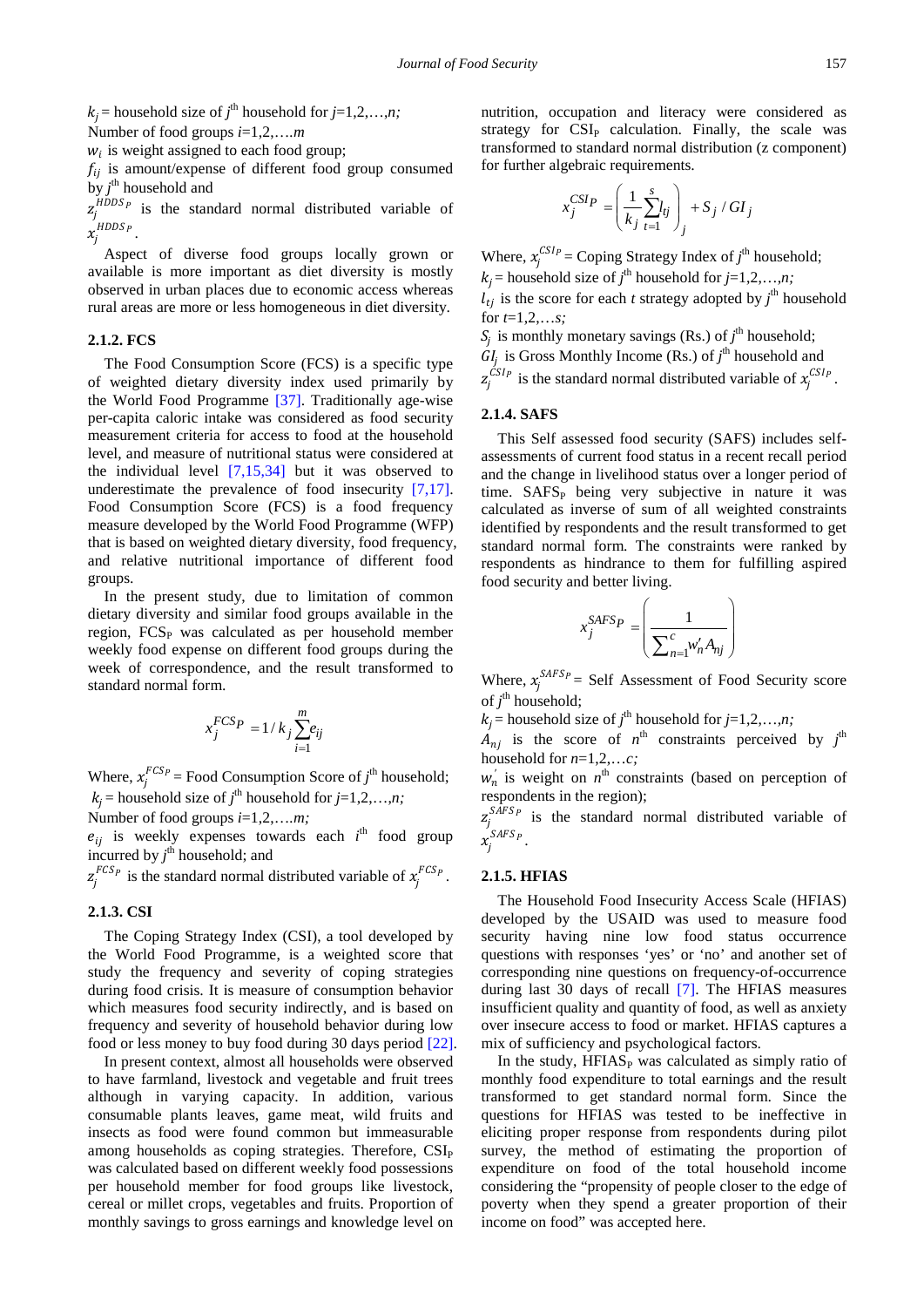$k_j$  = household size of  $j$ <sup>th</sup> household for  $j$ =1,2,...,*n*;

Number of food groups *i*=1,2,…*.m*

 $w_i$  is weight assigned to each food group;

 $f_{ii}$  is amount/expense of different food group consumed by  $j^{\text{th}}$  household and

 $Z_j$  $z_i^{HDDS_p}$  is the standard normal distributed variable of  $x_j^{HDDS_P}$  .

Aspect of diverse food groups locally grown or available is more important as diet diversity is mostly observed in urban places due to economic access whereas rural areas are more or less homogeneous in diet diversity.

#### **2.1.2. FCS**

The Food Consumption Score (FCS) is a specific type of weighted dietary diversity index used primarily by the World Food Programme [\[37\].](#page-6-9) Traditionally age-wise per-capita caloric intake was considered as food security measurement criteria for access to food at the household level, and measure of nutritional status were considered at the individual level [\[7,15,34\]](#page-5-4) but it was observed to underestimate the prevalence of food insecurity [\[7,17\].](#page-5-4) Food Consumption Score (FCS) is a food frequency measure developed by the World Food Programme (WFP) that is based on weighted dietary diversity, food frequency, and relative nutritional importance of different food groups.

In the present study, due to limitation of common dietary diversity and similar food groups available in the region,  $FCS<sub>P</sub>$  was calculated as per household member weekly food expense on different food groups during the week of correspondence, and the result transformed to standard normal form.

$$
x_j^{FCSP} = 1 / k_j \sum_{i=1}^{m} e_{ij}
$$

Where,  $x_j^{FCSp}$  = Food Consumption Score of  $j^{\text{th}}$  household;  $k_j$  = household size of *j*<sup>th</sup> household for *j*=1,2,...,*n*;

Number of food groups *i*=1,2,…*.m;*

 $e_{ij}$  is weekly expenses towards each  $i^{\text{th}}$  food group incurred by  $j^{\text{th}}$  household; and

 $z_j^{FCS_p}$  is the standard normal distributed variable of  $x_j^{FCS_p}$ .

## **2.1.3. CSI**

The Coping Strategy Index (CSI), a tool developed by the World Food Programme, is a weighted score that study the frequency and severity of coping strategies during food crisis. It is measure of consumption behavior which measures food security indirectly, and is based on frequency and severity of household behavior during low food or less money to buy food during 30 days period [\[22\].](#page-6-4)

In present context, almost all households were observed to have farmland, livestock and vegetable and fruit trees although in varying capacity. In addition, various consumable plants leaves, game meat, wild fruits and insects as food were found common but immeasurable among households as coping strategies. Therefore, CSI<sub>P</sub> was calculated based on different weekly food possessions per household member for food groups like livestock, cereal or millet crops, vegetables and fruits. Proportion of monthly savings to gross earnings and knowledge level on nutrition, occupation and literacy were considered as strategy for  $CSI<sub>P</sub>$  calculation. Finally, the scale was transformed to standard normal distribution (z component) for further algebraic requirements.

$$
x_j^{CSI}P = \left(\frac{1}{k_j} \sum_{t=1}^s I_{tj}\right)_j + S_j / GI_j
$$

Where,  $x_j^{CSI_p}$  = Coping Strategy Index of  $j^{\text{th}}$  household;  $k_j$  = household size of  $j$ <sup>th</sup> household for  $j$ =1,2,...,*n*;  $\hat{l}_{tj}$  is the score for each *t* strategy adopted by  $j^{\text{th}}$  household

for *t*=1,2,…*s;*  $\hat{f}_j$  is monthly monetary savings (Rs.) of  $j^{\text{th}}$  household;

 $GI_j$  is Gross Monthly Income (Rs.) of  $j^{\text{th}}$  household and  $z_j^{CSI_P}$  is the standard normal distributed variable of  $x_j^{CSI_P}$ .

#### **2.1.4. SAFS**

This Self assessed food security (SAFS) includes selfassessments of current food status in a recent recall period and the change in livelihood status over a longer period of time.  $SAFS<sub>P</sub>$  being very subjective in nature it was calculated as inverse of sum of all weighted constraints identified by respondents and the result transformed to get standard normal form. The constraints were ranked by respondents as hindrance to them for fulfilling aspired food security and better living.

$$
x_j^{SAFSp} = \left(\frac{1}{\sum_{n=1}^c w'_n A_{nj}}\right)
$$

Where,  $x_j^{SAFSp}$  = Self Assessment of Food Security score of  $j^{\text{th}}$  household;

 $k_j$  = household size of *j*<sup>th</sup> household for *j*=1,2,...,*n*;

 $_{nj}$  is the score of  $n^{\text{th}}$  constraints perceived by  $j^{\text{th}}$ household for *n*=1,2,…*c;*

 $w'_n$  is weight on  $n^{\text{th}}$  constraints (based on perception of respondents in the region);

 $z_j^{SAFSp}$  is the standard normal distributed variable of  $x_j^{SAFSp}$  .

#### **2.1.5. HFIAS**

The Household Food Insecurity Access Scale (HFIAS) developed by the USAID was used to measure food security having nine low food status occurrence questions with responses 'yes' or 'no' and another set of corresponding nine questions on frequency-of-occurrence during last 30 days of recall [\[7\].](#page-5-4) The HFIAS measures insufficient quality and quantity of food, as well as anxiety over insecure access to food or market. HFIAS captures a mix of sufficiency and psychological factors.

In the study,  $HFIAS<sub>P</sub>$  was calculated as simply ratio of monthly food expenditure to total earnings and the result transformed to get standard normal form. Since the questions for HFIAS was tested to be ineffective in eliciting proper response from respondents during pilot survey, the method of estimating the proportion of expenditure on food of the total household income considering the "propensity of people closer to the edge of poverty when they spend a greater proportion of their income on food" was accepted here.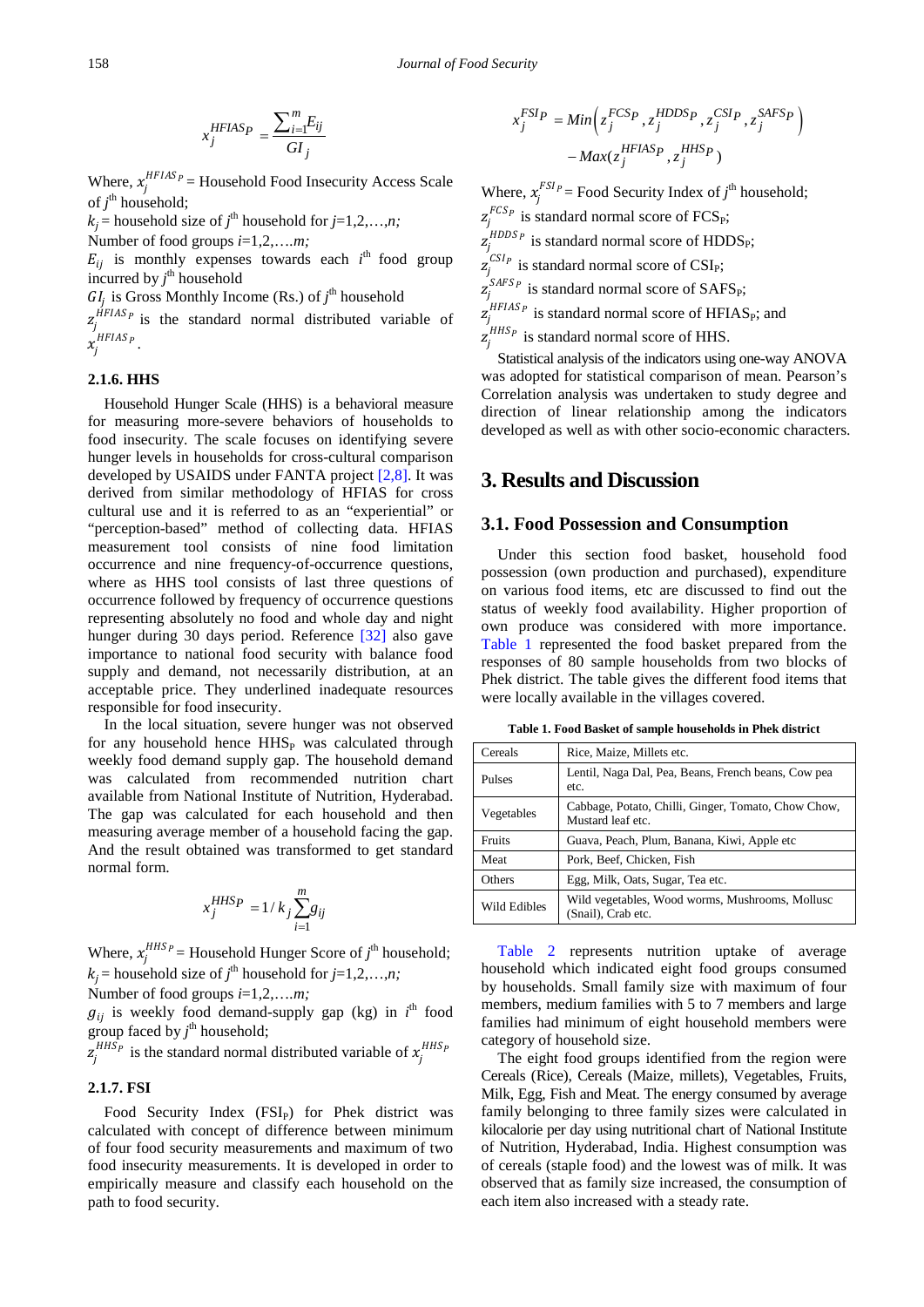$$
x_j^{HFIAS} = \frac{\sum_{i=1}^{m} E_{ij}}{GI_j}
$$

Where,  $x_j^{HFIAS_p}$  = Household Food Insecurity Access Scale of  $j^{\text{th}}$  household;

 $k_j$  = household size of  $j$ <sup>th</sup> household for  $j$ =1,2,...,*n*;

Number of food groups *i*=1,2,…*.m;*

 $E_{ij}$  is monthly expenses towards each  $i^{\text{th}}$  food group incurred by  $j^{\text{th}}$  household

 $GI_j$  is Gross Monthly Income (Rs.) of  $j^{\text{th}}$  household

 $z_j^{HFIAS}$  is the standard normal distributed variable of  $x_j^{HFIAS_P}$ .

#### **2.1.6. HHS**

Household Hunger Scale (HHS) is a behavioral measure for measuring more-severe behaviors of households to food insecurity. The scale focuses on identifying severe hunger levels in households for cross-cultural comparison developed by USAIDS under FANTA project [\[2,8\].](#page-5-5) It was derived from similar methodology of HFIAS for cross cultural use and it is referred to as an "experiential" or "perception-based" method of collecting data. HFIAS measurement tool consists of nine food limitation occurrence and nine frequency-of-occurrence questions, where as HHS tool consists of last three questions of occurrence followed by frequency of occurrence questions representing absolutely no food and whole day and night hunger during 30 days period. Reference [\[32\]](#page-6-10) also gave importance to national food security with balance food supply and demand, not necessarily distribution, at an acceptable price. They underlined inadequate resources responsible for food insecurity.

In the local situation, severe hunger was not observed for any household hence HHS<sub>P</sub> was calculated through weekly food demand supply gap. The household demand was calculated from recommended nutrition chart available from National Institute of Nutrition, Hyderabad. The gap was calculated for each household and then measuring average member of a household facing the gap. And the result obtained was transformed to get standard normal form.

$$
x_j^{HHS} P = 1 / k_j \sum_{i=1}^{m} g_{ij}
$$

Where,  $x_j^{HHS_p}$  = Household Hunger Score of  $j^{\text{th}}$  household;  $k_j$  = household size of  $j$ <sup>th</sup> household for  $j$ =1,2,...,*n*;

Number of food groups *i*=1,2,…*.m;*

 $g_{ij}$  is weekly food demand-supply gap (kg) in  $i^{\text{th}}$  food group faced by  $j^{\text{th}}$  household;

 $z_j^{HHS_p}$  is the standard normal distributed variable of  $x_j^{HHS_p}$ 

#### **2.1.7. FSI**

Food Security Index (FSI<sub>P</sub>) for Phek district was calculated with concept of difference between minimum of four food security measurements and maximum of two food insecurity measurements. It is developed in order to empirically measure and classify each household on the path to food security.

$$
x_j^{FSIP} = Min\left(z_j^{FCSP}, z_j^{HDDSP}, z_j^{CSIP}, z_j^{SAFSP}\right) - Max(z_j^{HFIASP}, z_j^{HHSP})
$$

Where,  $x_j^{FSI_p}$  = Food Security Index of  $j^{\text{th}}$  household;  $z_j^{FCSp}$  is standard normal score of FCS<sub>P</sub>;  $z_j^{HDDS_p}$  is standard normal score of HDDS<sub>P</sub>;  $z_j^{CSP}$  is standard normal score of CSI<sub>P</sub>;  $z_j^{SAFSp}$  is standard normal score of SAFS<sub>P</sub>;  $z_j^{HFIAS_p}$  is standard normal score of HFIAS<sub>P</sub>; and  $z_j^{HHSP}$  is standard normal score of HHS.

Statistical analysis of the indicators using one-way ANOVA was adopted for statistical comparison of mean. Pearson's Correlation analysis was undertaken to study degree and direction of linear relationship among the indicators developed as well as with other socio-economic characters.

# **3. Results and Discussion**

### **3.1. Food Possession and Consumption**

Under this section food basket, household food possession (own production and purchased), expenditure on various food items, etc are discussed to find out the status of weekly food availability. Higher proportion of own produce was considered with more importance. [Table 1](#page-3-0) represented the food basket prepared from the responses of 80 sample households from two blocks of Phek district. The table gives the different food items that were locally available in the villages covered.

**Table 1. Food Basket of sample households in Phek district**

<span id="page-3-0"></span>

| Cereals      | Rice, Maize, Millets etc.                                                |
|--------------|--------------------------------------------------------------------------|
| Pulses       | Lentil, Naga Dal, Pea, Beans, French beans, Cow pea<br>etc.              |
| Vegetables   | Cabbage, Potato, Chilli, Ginger, Tomato, Chow Chow,<br>Mustard leaf etc. |
| Fruits       | Guava, Peach, Plum, Banana, Kiwi, Apple etc                              |
| Meat         | Pork, Beef, Chicken, Fish                                                |
| Others       | Egg, Milk, Oats, Sugar, Tea etc.                                         |
| Wild Edibles | Wild vegetables, Wood worms, Mushrooms, Mollusc<br>(Snail), Crab etc.    |

[Table 2](#page-4-0) represents nutrition uptake of average household which indicated eight food groups consumed by households. Small family size with maximum of four members, medium families with 5 to 7 members and large families had minimum of eight household members were category of household size.

The eight food groups identified from the region were Cereals (Rice), Cereals (Maize, millets), Vegetables, Fruits, Milk, Egg, Fish and Meat. The energy consumed by average family belonging to three family sizes were calculated in kilocalorie per day using nutritional chart of National Institute of Nutrition, Hyderabad, India. Highest consumption was of cereals (staple food) and the lowest was of milk. It was observed that as family size increased, the consumption of each item also increased with a steady rate.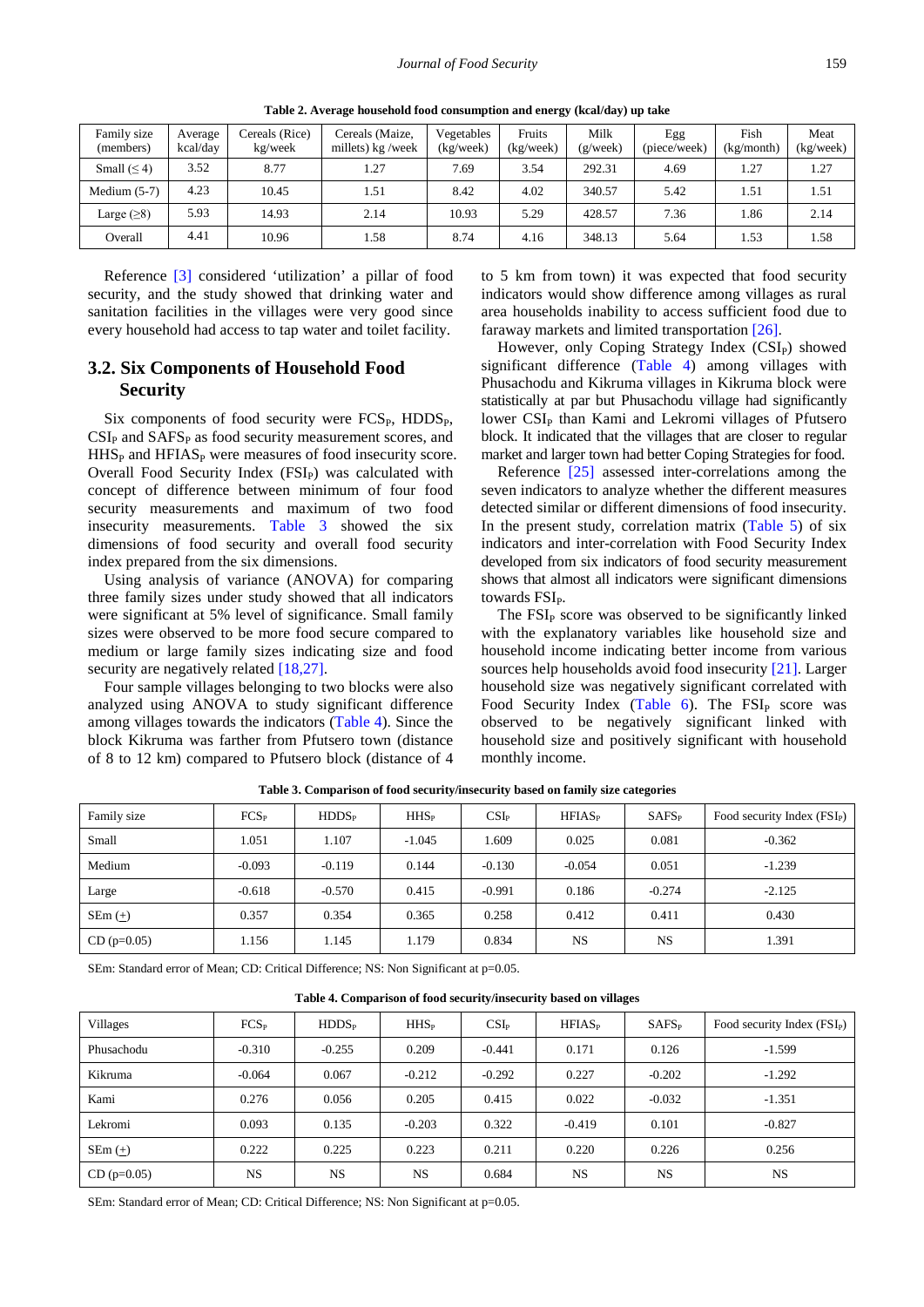<span id="page-4-0"></span>

| Family size<br>(members) | Average<br>kcal/day | Cereals (Rice)<br>kg/week | Cereals (Maize,<br>millets) $kg$ /week | Vegetables<br>(kg/week) | Fruits<br>(kg/week) | Milk<br>(g/week) | Egg<br>(piece/week) | Fish<br>(kg/mol) | Meat<br>(kg/week) |
|--------------------------|---------------------|---------------------------|----------------------------------------|-------------------------|---------------------|------------------|---------------------|------------------|-------------------|
| Small $(\leq 4)$         | 3.52                | 8.77                      | 1.27                                   | 7.69                    | 3.54                | 292.31           | 4.69                | 1.27             | 1.27              |
| Medium $(5-7)$           | 4.23                | 10.45                     | 1.51                                   | 8.42                    | 4.02                | 340.57           | 5.42                | 1.51             | 1.51              |
| Large $(\geq 8)$         | 5.93                | 14.93                     | 2.14                                   | 10.93                   | 5.29                | 428.57           | 7.36                | 1.86             | 2.14              |
| Overall                  | 4.41                | 10.96                     | 1.58                                   | 8.74                    | 4.16                | 348.13           | 5.64                | 1.53             | 1.58              |

**Table 2. Average household food consumption and energy (kcal/day) up take**

Reference [\[3\]](#page-5-1) considered 'utilization' a pillar of food security, and the study showed that drinking water and sanitation facilities in the villages were very good since every household had access to tap water and toilet facility.

# **3.2. Six Components of Household Food Security**

Six components of food security were  $FCS_{P}$ ,  $HDDS_{P}$ ,  $CSI<sub>P</sub>$  and  $SAFS<sub>P</sub>$  as food security measurement scores, and  $HHS<sub>P</sub>$  and  $HFIAS<sub>P</sub>$  were measures of food insecurity score. Overall Food Security Index (FSI<sub>P</sub>) was calculated with concept of difference between minimum of four food security measurements and maximum of two food insecurity measurements. [Table 3](#page-4-1) showed the six dimensions of food security and overall food security index prepared from the six dimensions.

Using analysis of variance (ANOVA) for comparing three family sizes under study showed that all indicators were significant at 5% level of significance. Small family sizes were observed to be more food secure compared to medium or large family sizes indicating size and food security are negatively related  $[18,27]$ .

Four sample villages belonging to two blocks were also analyzed using ANOVA to study significant difference among villages towards the indicators [\(Table 4\)](#page-4-2). Since the block Kikruma was farther from Pfutsero town (distance of 8 to 12 km) compared to Pfutsero block (distance of 4 to 5 km from town) it was expected that food security indicators would show difference among villages as rural area households inability to access sufficient food due to faraway markets and limited transportation [\[26\].](#page-6-12)

However, only Coping Strategy Index (CSI<sub>P</sub>) showed significant difference [\(Table 4\)](#page-4-2) among villages with Phusachodu and Kikruma villages in Kikruma block were statistically at par but Phusachodu village had significantly lower CSI<sub>P</sub> than Kami and Lekromi villages of Pfutsero block. It indicated that the villages that are closer to regular market and larger town had better Coping Strategies for food.

Reference [\[25\]](#page-6-13) assessed inter-correlations among the seven indicators to analyze whether the different measures detected similar or different dimensions of food insecurity. In the present study, correlation matrix [\(Table 5\)](#page-5-6) of six indicators and inter-correlation with Food Security Index developed from six indicators of food security measurement shows that almost all indicators were significant dimensions towards FSI<sub>P</sub>.

The  $FSI<sub>P</sub>$  score was observed to be significantly linked with the explanatory variables like household size and household income indicating better income from various sources help households avoid food insecurity [\[21\].](#page-6-14) Larger household size was negatively significant correlated with Food Security Index [\(Table 6\)](#page-5-7). The  $FSI<sub>P</sub>$  score was observed to be negatively significant linked with household size and positively significant with household monthly income.

<span id="page-4-1"></span>

| Family size   | $FCS_{P}$ | HDDS <sub>P</sub> | $HHS_{P}$ | $CSI_{P}$ | HFIAS <sub>P</sub> | $SAFS_P$  | Food security Index $(FSI_P)$ |
|---------------|-----------|-------------------|-----------|-----------|--------------------|-----------|-------------------------------|
| Small         | 1.051     | 1.107             | $-1.045$  | 1.609     | 0.025              | 0.081     | $-0.362$                      |
| Medium        | $-0.093$  | $-0.119$          | 0.144     | $-0.130$  | $-0.054$           | 0.051     | $-1.239$                      |
| Large         | $-0.618$  | $-0.570$          | 0.415     | $-0.991$  | 0.186              | $-0.274$  | $-2.125$                      |
| $SEm (+)$     | 0.357     | 0.354             | 0.365     | 0.258     | 0.412              | 0.411     | 0.430                         |
| $CD (p=0.05)$ | 1.156     | 1.145             | 1.179     | 0.834     | <b>NS</b>          | <b>NS</b> | 1.391                         |

**Table 3. Comparison of food security/insecurity based on family size categories**

SEm: Standard error of Mean; CD: Critical Difference; NS: Non Significant at p=0.05.

**Table 4. Comparison of food security/insecurity based on villages**

<span id="page-4-2"></span>

| Villages      | $FCS_{P}$ | HDDS <sub>P</sub> | $HHS_{P}$ | $CSI_{P}$ | HFIAS <sub>P</sub> | $SAFS_P$  | Food security Index $(FSI_P)$ |
|---------------|-----------|-------------------|-----------|-----------|--------------------|-----------|-------------------------------|
| Phusachodu    | $-0.310$  | $-0.255$          | 0.209     | $-0.441$  | 0.171              | 0.126     | $-1.599$                      |
| Kikruma       | $-0.064$  | 0.067             | $-0.212$  | $-0.292$  | 0.227              | $-0.202$  | $-1.292$                      |
| Kami          | 0.276     | 0.056             | 0.205     | 0.415     | 0.022              | $-0.032$  | $-1.351$                      |
| Lekromi       | 0.093     | 0.135             | $-0.203$  | 0.322     | $-0.419$           | 0.101     | $-0.827$                      |
| $SEm (+)$     | 0.222     | 0.225             | 0.223     | 0.211     | 0.220              | 0.226     | 0.256                         |
| $CD (p=0.05)$ | <b>NS</b> | <b>NS</b>         | <b>NS</b> | 0.684     | <b>NS</b>          | <b>NS</b> | <b>NS</b>                     |

SEm: Standard error of Mean; CD: Critical Difference; NS: Non Significant at p=0.05.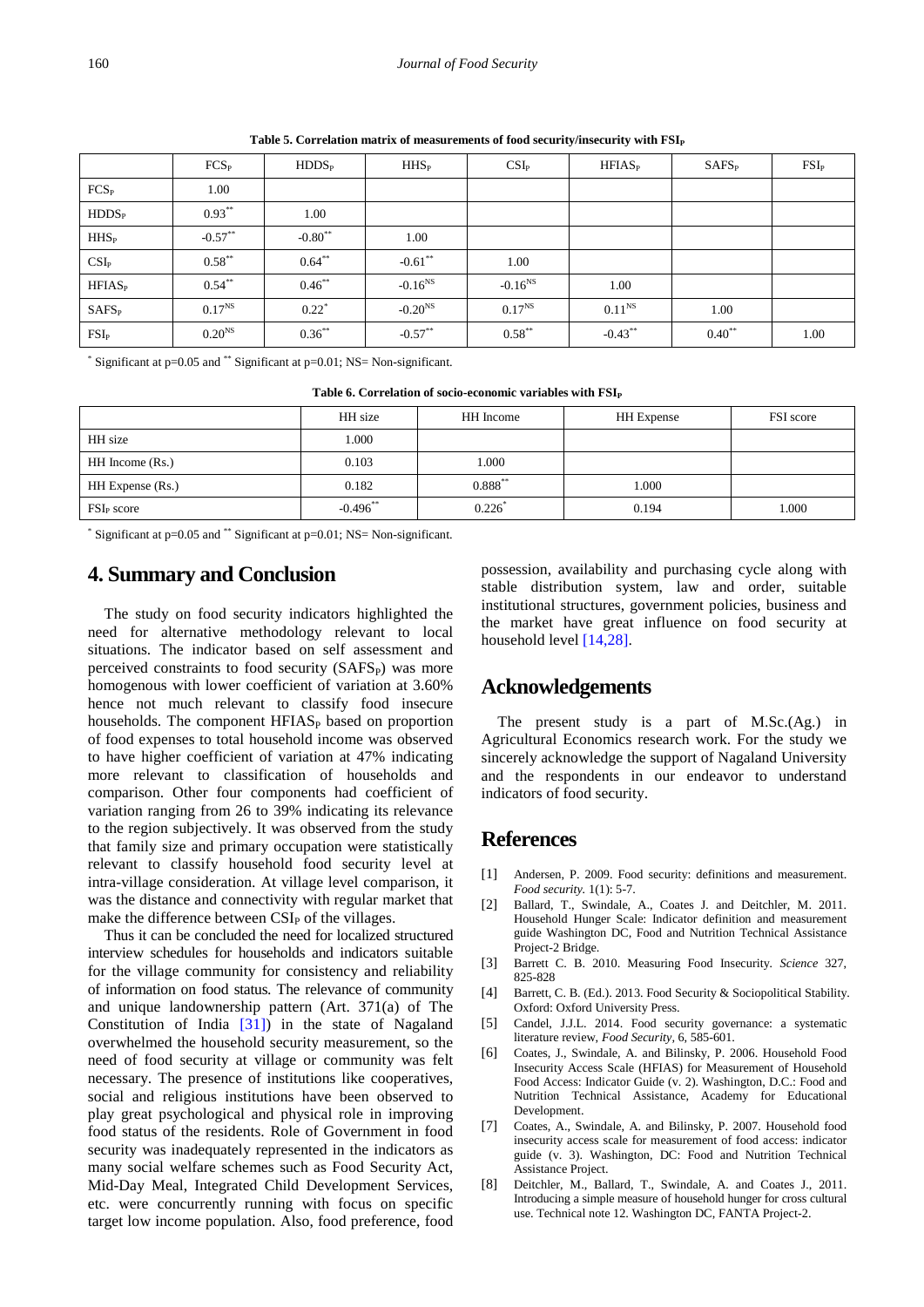<span id="page-5-6"></span>

|                        | $FCS_{P}$          | HDDS <sub>P</sub>   | $HHS_{P}$    | CSI <sub>P</sub> | $HFIAS_P$          | SAFS <sub>P</sub> | FSI <sub>P</sub> |
|------------------------|--------------------|---------------------|--------------|------------------|--------------------|-------------------|------------------|
| FCS <sub>P</sub>       | 1.00               |                     |              |                  |                    |                   |                  |
| HDDS <sub>P</sub>      | $0.93***$          | 1.00                |              |                  |                    |                   |                  |
| <b>HHS<sub>P</sub></b> | $-0.57**$          | $-0.80**$           | 1.00         |                  |                    |                   |                  |
| $CSI_{P}$              | $0.58***$          | $0.64**$            | $-0.61$ **   | 1.00             |                    |                   |                  |
| HFIAS <sub>P</sub>     | $0.54***$          | $0.46**$            | $-0.16^{NS}$ | $-0.16^{NS}$     | 1.00               |                   |                  |
| SAFS <sub>P</sub>      | $0.17^{NS}$        | $0.22$ <sup>*</sup> | $-0.20^{NS}$ | $0.17^{NS}$      | 0.11 <sup>NS</sup> | 1.00              |                  |
| FSI <sub>P</sub>       | 0.20 <sup>NS</sup> | $0.36***$           | $-0.57**$    | $0.58***$        | $-0.43**$          | $0.40^{**}$       | 1.00             |

Table 5. Correlation matrix of measurements of food security/insecurity with  $FSI<sub>P</sub>$ 

\* Significant at p=0.05 and \*\* Significant at p=0.01; NS= Non-significant.

<span id="page-5-7"></span>

| Table 6. Correlation of socio-economic variables with FSI <sub>P</sub> |             |              |                   |                  |  |  |  |  |
|------------------------------------------------------------------------|-------------|--------------|-------------------|------------------|--|--|--|--|
|                                                                        | HH size     | HH Income    | <b>HH</b> Expense | <b>FSI</b> score |  |  |  |  |
| HH size                                                                | 1.000       |              |                   |                  |  |  |  |  |
| HH Income (Rs.)                                                        | 0.103       | .000         |                   |                  |  |  |  |  |
| HH Expense (Rs.)                                                       | 0.182       | $0.888^{**}$ | 1.000             |                  |  |  |  |  |
| FSI <sub>p</sub> score                                                 | $-0.496$ ** | 0.226        | 0.194             | 1.000            |  |  |  |  |

\* Significant at p=0.05 and \*\* Significant at p=0.01; NS= Non-significant.

# **4. Summary and Conclusion**

The study on food security indicators highlighted the need for alternative methodology relevant to local situations. The indicator based on self assessment and perceived constraints to food security (SAFS<sub>P</sub>) was more homogenous with lower coefficient of variation at 3.60% hence not much relevant to classify food insecure households. The component HFIAS<sub>P</sub> based on proportion of food expenses to total household income was observed to have higher coefficient of variation at 47% indicating more relevant to classification of households and comparison. Other four components had coefficient of variation ranging from 26 to 39% indicating its relevance to the region subjectively. It was observed from the study that family size and primary occupation were statistically relevant to classify household food security level at intra-village consideration. At village level comparison, it was the distance and connectivity with regular market that make the difference between  $CSI<sub>P</sub>$  of the villages.

Thus it can be concluded the need for localized structured interview schedules for households and indicators suitable for the village community for consistency and reliability of information on food status. The relevance of community and unique landownership pattern (Art. 371(a) of The Constitution of India [\[31\]\)](#page-6-15) in the state of Nagaland overwhelmed the household security measurement, so the need of food security at village or community was felt necessary. The presence of institutions like cooperatives, social and religious institutions have been observed to play great psychological and physical role in improving food status of the residents. Role of Government in food security was inadequately represented in the indicators as many social welfare schemes such as Food Security Act, Mid-Day Meal, Integrated Child Development Services, etc. were concurrently running with focus on specific target low income population. Also, food preference, food possession, availability and purchasing cycle along with stable distribution system, law and order, suitable institutional structures, government policies, business and the market have great influence on food security at household leve[l \[14,28\].](#page-6-16)

# **Acknowledgements**

The present study is a part of M.Sc.(Ag.) in Agricultural Economics research work. For the study we sincerely acknowledge the support of Nagaland University and the respondents in our endeavor to understand indicators of food security.

# **References**

- <span id="page-5-3"></span>[1] Andersen, P. 2009. Food security: definitions and measurement. *Food security.* 1(1): 5-7.
- <span id="page-5-5"></span>[2] Ballard, T., Swindale, A., Coates J*.* and Deitchler, M. 2011. Household Hunger Scale: Indicator definition and measurement guide Washington DC, Food and Nutrition Technical Assistance Project-2 Bridge.
- <span id="page-5-1"></span>[3] Barrett C. B. 2010. Measuring Food Insecurity*. Science* 327, 825-828
- <span id="page-5-2"></span>[4] Barrett, C. B. (Ed.). 2013. Food Security & Sociopolitical Stability. Oxford: Oxford University Press.
- [5] Candel, J.J.L. 2014. Food security governance: a systematic literature review, *Food Security,* 6, 585-601.
- <span id="page-5-0"></span>[6] Coates, J., Swindale, A. and Bilinsky, P. 2006. Household Food Insecurity Access Scale (HFIAS) for Measurement of Household Food Access: Indicator Guide (v. 2). Washington, D.C.: Food and Nutrition Technical Assistance, Academy for Educational Development.
- <span id="page-5-4"></span>[7] Coates, A., Swindale, A. and Bilinsky, P. 2007. Household food insecurity access scale for measurement of food access: indicator guide (v. 3). Washington, DC: Food and Nutrition Technical Assistance Project.
- [8] Deitchler, M., Ballard, T., Swindale, A. and Coates J*.*, 2011. Introducing a simple measure of household hunger for cross cultural use. Technical note 12. Washington DC, FANTA Project-2.